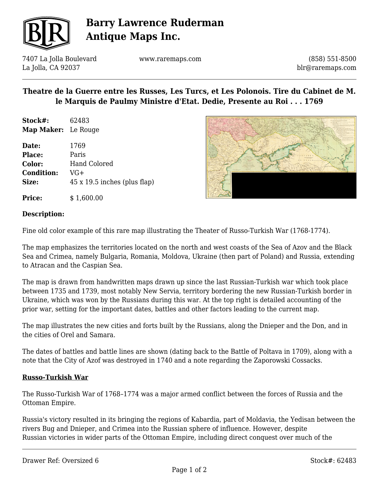

## **Barry Lawrence Ruderman Antique Maps Inc.**

7407 La Jolla Boulevard La Jolla, CA 92037

www.raremaps.com

(858) 551-8500 blr@raremaps.com

### **Theatre de la Guerre entre les Russes, Les Turcs, et Les Polonois. Tire du Cabinet de M. le Marquis de Paulmy Ministre d'Etat. Dedie, Presente au Roi . . . 1769**

**Stock#:** 62483 **Map Maker:** Le Rouge

**Price:**  $$ 1,600.00$ 

**Date:** 1769 **Place:** Paris **Color:** Hand Colored **Condition:** VG+ **Size:** 45 x 19.5 inches (plus flap)



### **Description:**

Fine old color example of this rare map illustrating the Theater of Russo-Turkish War (1768-1774).

The map emphasizes the territories located on the north and west coasts of the Sea of Azov and the Black Sea and Crimea, namely Bulgaria, Romania, Moldova, Ukraine (then part of Poland) and Russia, extending to Atracan and the Caspian Sea.

The map is drawn from handwritten maps drawn up since the last Russian-Turkish war which took place between 1735 and 1739, most notably New Servia, territory bordering the new Russian-Turkish border in Ukraine, which was won by the Russians during this war. At the top right is detailed accounting of the prior war, setting for the important dates, battles and other factors leading to the current map.

The map illustrates the new cities and forts built by the Russians, along the Dnieper and the Don, and in the cities of Orel and Samara.

The dates of battles and battle lines are shown (dating back to the Battle of Poltava in 1709), along with a note that the City of Azof was destroyed in 1740 and a note regarding the Zaporowski Cossacks.

### **Russo-Turkish War**

The Russo-Turkish War of 1768–1774 was a major armed conflict between the forces of Russia and the Ottoman Empire.

Russia's victory resulted in its bringing the regions of Kabardia, part of Moldavia, the Yedisan between the rivers Bug and Dnieper, and Crimea into the Russian sphere of influence. However, despite Russian victories in wider parts of the Ottoman Empire, including direct conquest over much of the